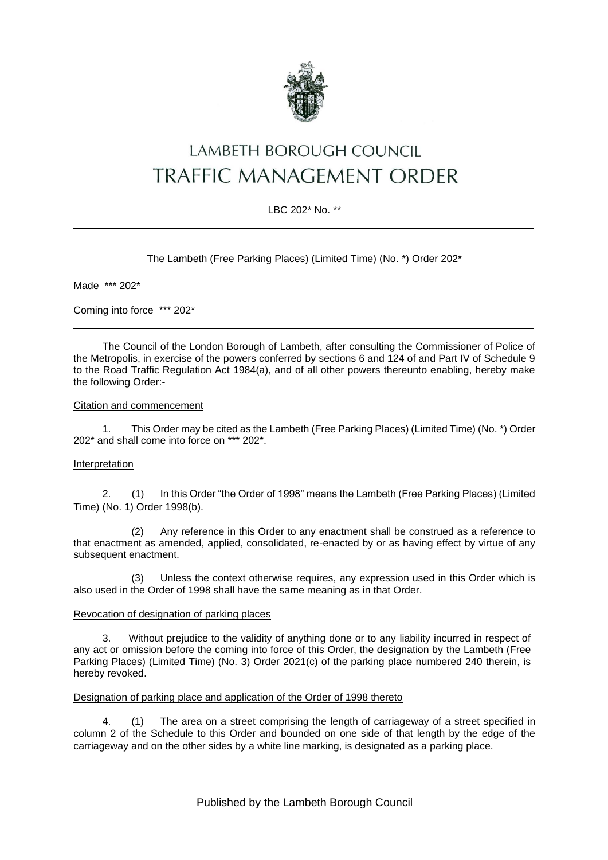

# LAMBETH BOROUGH COUNCIL TRAFFIC MANAGEMENT ORDER

## LBC 202\* No. \*\*

The Lambeth (Free Parking Places) (Limited Time) (No. \*) Order 202\*

Made \*\*\* 202\*

Coming into force \*\*\* 202\*

The Council of the London Borough of Lambeth, after consulting the Commissioner of Police of the Metropolis, in exercise of the powers conferred by sections 6 and 124 of and Part IV of Schedule 9 to the Road Traffic Regulation Act 1984(a), and of all other powers thereunto enabling, hereby make the following Order:-

#### Citation and commencement

1. This Order may be cited as the Lambeth (Free Parking Places) (Limited Time) (No. \*) Order 202\* and shall come into force on \*\*\* 202\*.

#### Interpretation

2. (1) In this Order "the Order of 1998" means the Lambeth (Free Parking Places) (Limited Time) (No. 1) Order 1998(b).

(2) Any reference in this Order to any enactment shall be construed as a reference to that enactment as amended, applied, consolidated, re-enacted by or as having effect by virtue of any subsequent enactment.

(3) Unless the context otherwise requires, any expression used in this Order which is also used in the Order of 1998 shall have the same meaning as in that Order.

#### Revocation of designation of parking places

3. Without prejudice to the validity of anything done or to any liability incurred in respect of any act or omission before the coming into force of this Order, the designation by the Lambeth (Free Parking Places) (Limited Time) (No. 3) Order 2021(c) of the parking place numbered 240 therein, is hereby revoked.

#### Designation of parking place and application of the Order of 1998 thereto

4. (1) The area on a street comprising the length of carriageway of a street specified in column 2 of the Schedule to this Order and bounded on one side of that length by the edge of the carriageway and on the other sides by a white line marking, is designated as a parking place.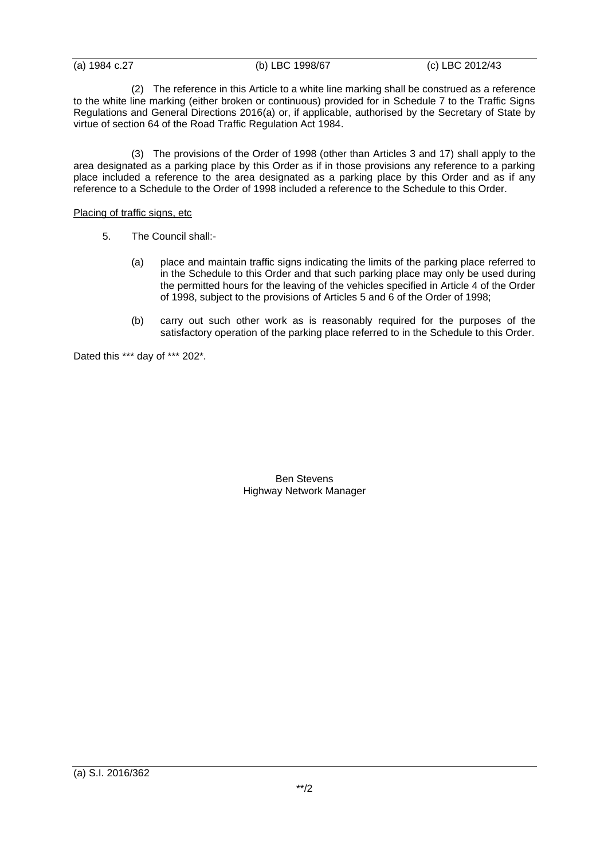(a) 1984 c.27 (b) LBC 1998/67 (c) LBC 2012/43

(2) The reference in this Article to a white line marking shall be construed as a reference to the white line marking (either broken or continuous) provided for in Schedule 7 to the Traffic Signs Regulations and General Directions 2016(a) or, if applicable, authorised by the Secretary of State by virtue of section 64 of the Road Traffic Regulation Act 1984.

(3) The provisions of the Order of 1998 (other than Articles 3 and 17) shall apply to the area designated as a parking place by this Order as if in those provisions any reference to a parking place included a reference to the area designated as a parking place by this Order and as if any reference to a Schedule to the Order of 1998 included a reference to the Schedule to this Order.

## Placing of traffic signs, etc

- 5. The Council shall:-
	- (a) place and maintain traffic signs indicating the limits of the parking place referred to in the Schedule to this Order and that such parking place may only be used during the permitted hours for the leaving of the vehicles specified in Article 4 of the Order of 1998, subject to the provisions of Articles 5 and 6 of the Order of 1998;
	- (b) carry out such other work as is reasonably required for the purposes of the satisfactory operation of the parking place referred to in the Schedule to this Order.

Dated this \*\*\* day of \*\*\* 202\*.

Ben Stevens Highway Network Manager